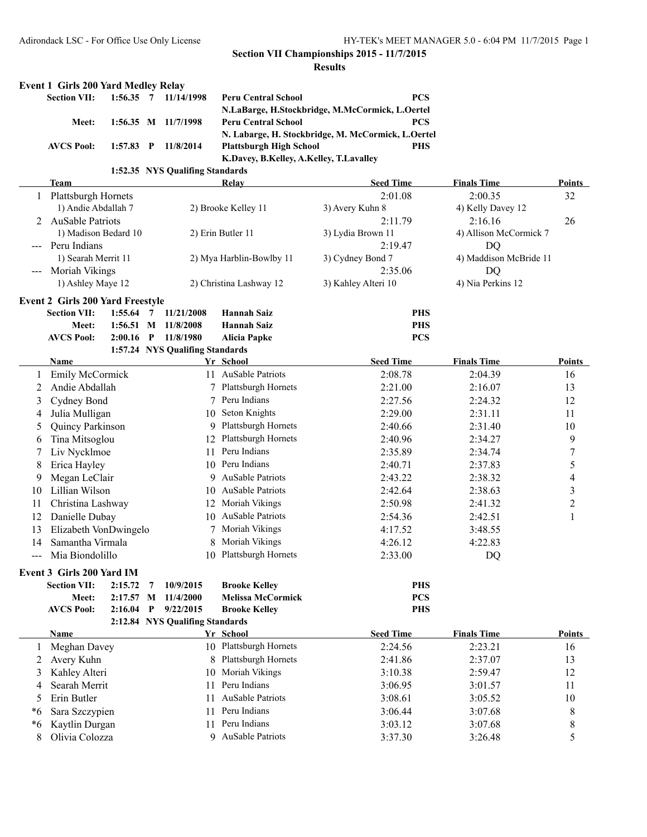#### **Section VII Championships 2015 - 11/7/2015 Results**

|              | <b>Event 1 Girls 200 Yard Medley Relay</b><br><b>Section VII:</b> | $1:56.35$ 7 |                | 11/14/1998                        | <b>Peru Central School</b>               | <b>PCS</b>                                         |                        |                         |
|--------------|-------------------------------------------------------------------|-------------|----------------|-----------------------------------|------------------------------------------|----------------------------------------------------|------------------------|-------------------------|
|              |                                                                   |             |                |                                   |                                          | N.LaBarge, H.Stockbridge, M.McCormick, L.Oertel    |                        |                         |
|              | Meet:                                                             |             |                | 1:56.35 M 11/7/1998               | <b>Peru Central School</b>               | <b>PCS</b>                                         |                        |                         |
|              |                                                                   |             |                |                                   |                                          | N. Labarge, H. Stockbridge, M. McCormick, L.Oertel |                        |                         |
|              | <b>AVCS Pool:</b>                                                 | $1:57.83$ P |                | 11/8/2014                         | <b>Plattsburgh High School</b>           | <b>PHS</b>                                         |                        |                         |
|              |                                                                   |             |                |                                   | K.Davey, B.Kelley, A.Kelley, T.Lavalley  |                                                    |                        |                         |
|              |                                                                   |             |                | 1:52.35 NYS Qualifing Standards   |                                          |                                                    |                        |                         |
|              | Team                                                              |             |                |                                   | Relay                                    | <b>Seed Time</b>                                   | <b>Finals Time</b>     | Points                  |
| $\mathbf{1}$ | Plattsburgh Hornets                                               |             |                |                                   |                                          | 2:01.08                                            | 2:00.35                | 32                      |
|              | 1) Andie Abdallah 7                                               |             |                |                                   | 2) Brooke Kelley 11                      | 3) Avery Kuhn 8                                    | 4) Kelly Davey 12      |                         |
|              | 2 AuSable Patriots                                                |             |                |                                   |                                          | 2:11.79                                            | 2:16.16                | 26                      |
|              | 1) Madison Bedard 10                                              |             |                |                                   | 2) Erin Butler 11                        | 3) Lydia Brown 11                                  | 4) Allison McCormick 7 |                         |
|              | --- Peru Indians                                                  |             |                |                                   |                                          | 2:19.47                                            | DQ                     |                         |
|              | 1) Searah Merrit 11                                               |             |                |                                   | 2) Mya Harblin-Bowlby 11                 | 3) Cydney Bond 7                                   | 4) Maddison McBride 11 |                         |
|              | --- Moriah Vikings                                                |             |                |                                   |                                          | 2:35.06                                            | DQ                     |                         |
|              | 1) Ashley Maye 12                                                 |             |                |                                   | 2) Christina Lashway 12                  | 3) Kahley Alteri 10                                | 4) Nia Perkins 12      |                         |
|              | <b>Event 2 Girls 200 Yard Freestyle</b>                           |             |                |                                   |                                          |                                                    |                        |                         |
|              | <b>Section VII:</b><br>Meet:                                      | $1:55.64$ 7 |                | 11/21/2008<br>1:56.51 M 11/8/2008 | <b>Hannah Saiz</b><br><b>Hannah Saiz</b> | <b>PHS</b><br><b>PHS</b>                           |                        |                         |
|              | <b>AVCS Pool:</b>                                                 | $2:00.16$ P |                | 11/8/1980                         | <b>Alicia Papke</b>                      | <b>PCS</b>                                         |                        |                         |
|              |                                                                   |             |                | 1:57.24 NYS Qualifing Standards   |                                          |                                                    |                        |                         |
|              | Name                                                              |             |                |                                   | Yr School                                | <b>Seed Time</b>                                   | <b>Finals Time</b>     | Points                  |
|              | Emily McCormick                                                   |             |                |                                   | 11 AuSable Patriots                      | 2:08.78                                            | 2:04.39                | 16                      |
| 2            | Andie Abdallah                                                    |             |                |                                   | 7 Plattsburgh Hornets                    | 2:21.00                                            | 2:16.07                | 13                      |
| 3            | Cydney Bond                                                       |             |                | 7                                 | Peru Indians                             | 2:27.56                                            | 2:24.32                | 12                      |
| 4            | Julia Mulligan                                                    |             |                |                                   | 10 Seton Knights                         | 2:29.00                                            | 2:31.11                | 11                      |
| 5            | Quincy Parkinson                                                  |             |                |                                   | 9 Plattsburgh Hornets                    | 2:40.66                                            | 2:31.40                | 10                      |
| 6            | Tina Mitsoglou                                                    |             |                |                                   | 12 Plattsburgh Hornets                   | 2:40.96                                            | 2:34.27                | 9                       |
| 7            | Liv Nycklmoe                                                      |             |                | 11                                | Peru Indians                             | 2:35.89                                            | 2:34.74                | 7                       |
| 8            | Erica Hayley                                                      |             |                |                                   | 10 Peru Indians                          | 2:40.71                                            | 2:37.83                | 5                       |
| 9            | Megan LeClair                                                     |             |                |                                   | 9 AuSable Patriots                       | 2:43.22                                            | 2:38.32                | 4                       |
| 10           | Lillian Wilson                                                    |             |                |                                   | 10 AuSable Patriots                      | 2:42.64                                            | 2:38.63                | $\mathfrak{Z}$          |
| 11           | Christina Lashway                                                 |             |                | 12                                | Moriah Vikings                           | 2:50.98                                            | 2:41.32                | $\overline{\mathbf{c}}$ |
| 12           | Danielle Dubay                                                    |             |                | 10                                | AuSable Patriots                         | 2:54.36                                            | 2:42.51                | 1                       |
| 13           | Elizabeth VonDwingelo                                             |             |                | 7                                 | Moriah Vikings                           | 4:17.52                                            | 3:48.55                |                         |
| 14           | Samantha Virmala                                                  |             |                | 8                                 | Moriah Vikings                           | 4:26.12                                            | 4:22.83                |                         |
|              | Mia Biondolillo                                                   |             |                |                                   | 10 Plattsburgh Hornets                   | 2:33.00                                            | DQ                     |                         |
|              | Event 3 Girls 200 Yard IM                                         |             |                |                                   |                                          |                                                    |                        |                         |
|              | <b>Section VII:</b>                                               | 2:15.72     | $\overline{7}$ | 10/9/2015                         | <b>Brooke Kelley</b>                     | <b>PHS</b>                                         |                        |                         |
|              | Meet:                                                             | 2:17.57 M   |                | 11/4/2000                         | <b>Melissa McCormick</b>                 | <b>PCS</b>                                         |                        |                         |
|              | <b>AVCS Pool:</b>                                                 | $2:16.04$ P |                | 9/22/2015                         | <b>Brooke Kelley</b>                     | <b>PHS</b>                                         |                        |                         |
|              |                                                                   |             |                | 2:12.84 NYS Qualifing Standards   |                                          |                                                    |                        |                         |
|              | Name                                                              |             |                |                                   | Yr School                                | <b>Seed Time</b>                                   | <b>Finals Time</b>     | <b>Points</b>           |
| 1            | Meghan Davey                                                      |             |                |                                   | 10 Plattsburgh Hornets                   | 2:24.56                                            | 2:23.21                | 16                      |
| 2            | Avery Kuhn                                                        |             |                | 8                                 | Plattsburgh Hornets                      | 2:41.86                                            | 2:37.07                | 13                      |
| 3            | Kahley Alteri                                                     |             |                | 10                                | Moriah Vikings                           | 3:10.38                                            | 2:59.47                | 12                      |
| 4            | Searah Merrit                                                     |             |                | 11                                | Peru Indians                             | 3:06.95                                            | 3:01.57                | 11                      |
| 5            | Erin Butler                                                       |             |                | 11                                | <b>AuSable Patriots</b>                  | 3:08.61                                            | 3:05.52                | 10                      |
| $*6$         | Sara Szczypien                                                    |             |                | 11                                | Peru Indians                             | 3:06.44                                            | 3:07.68                | 8                       |
| $*6$         | Kaytlin Durgan                                                    |             |                | 11                                | Peru Indians                             | 3:03.12                                            | 3:07.68                | 8                       |
| 8            | Olivia Colozza                                                    |             |                |                                   | 9 AuSable Patriots                       | 3:37.30                                            | 3:26.48                | 5                       |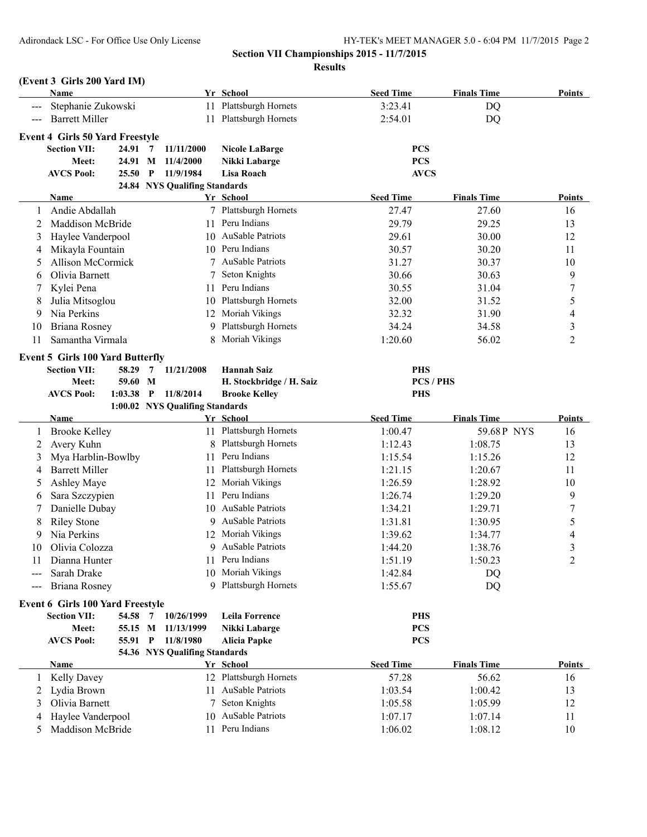# **Section VII Championships 2015 - 11/7/2015**

**Results**

## **(Event 3 Girls 200 Yard IM)**

|                     | Name                                    |         |                |                                 | Yr School               |                          | <b>Seed Time</b> | <b>Finals Time</b> | <b>Points</b>  |
|---------------------|-----------------------------------------|---------|----------------|---------------------------------|-------------------------|--------------------------|------------------|--------------------|----------------|
|                     | Stephanie Zukowski                      |         |                | 11                              | Plattsburgh Hornets     |                          | 3:23.41          | DQ                 |                |
| $\qquad \qquad - -$ | <b>Barrett Miller</b>                   |         |                | 11                              | Plattsburgh Hornets     |                          | 2:54.01          | DQ                 |                |
|                     |                                         |         |                |                                 |                         |                          |                  |                    |                |
|                     | <b>Event 4 Girls 50 Yard Freestyle</b>  |         |                |                                 |                         |                          |                  |                    |                |
|                     | <b>Section VII:</b>                     | 24.91   | $\overline{7}$ | 11/11/2000                      | <b>Nicole LaBarge</b>   |                          | <b>PCS</b>       |                    |                |
|                     | Meet:                                   | 24.91 M |                | 11/4/2000                       | Nikki Labarge           |                          | <b>PCS</b>       |                    |                |
|                     | <b>AVCS Pool:</b>                       | 25.50   | $\mathbf{P}$   | 11/9/1984                       | Lisa Roach              |                          | <b>AVCS</b>      |                    |                |
|                     | <b>Name</b>                             |         |                | 24.84 NYS Qualifing Standards   | Yr School               |                          | <b>Seed Time</b> | <b>Finals Time</b> | Points         |
|                     | Andie Abdallah                          |         |                |                                 | 7 Plattsburgh Hornets   |                          | 27.47            | 27.60              | 16             |
| 2                   | Maddison McBride                        |         |                | 11                              | Peru Indians            |                          | 29.79            | 29.25              | 13             |
|                     |                                         |         |                |                                 | AuSable Patriots        |                          |                  |                    |                |
| 3                   | Haylee Vanderpool                       |         |                | 10                              |                         |                          | 29.61            | 30.00              | 12             |
| 4                   | Mikayla Fountain                        |         |                | 10                              | Peru Indians            |                          | 30.57            | 30.20              | 11             |
| 5                   | <b>Allison McCormick</b>                |         |                |                                 | <b>AuSable Patriots</b> |                          | 31.27            | 30.37              | 10             |
| 6                   | Olivia Barnett                          |         |                |                                 | Seton Knights           |                          | 30.66            | 30.63              | 9              |
|                     | Kylei Pena                              |         |                | 11.                             | Peru Indians            |                          | 30.55            | 31.04              | 7              |
| 8                   | Julia Mitsoglou                         |         |                | 10                              | Plattsburgh Hornets     |                          | 32.00            | 31.52              | 5              |
| 9                   | Nia Perkins                             |         |                |                                 | 12 Moriah Vikings       |                          | 32.32            | 31.90              | 4              |
| 10                  | <b>Briana Rosney</b>                    |         |                | 9                               | Plattsburgh Hornets     |                          | 34.24            | 34.58              | 3              |
| 11                  | Samantha Virmala                        |         |                | 8                               | Moriah Vikings          |                          | 1:20.60          | 56.02              | $\overline{c}$ |
|                     | <b>Event 5 Girls 100 Yard Butterfly</b> |         |                |                                 |                         |                          |                  |                    |                |
|                     | <b>Section VII:</b>                     | 58.29   | 7              | 11/21/2008                      | <b>Hannah Saiz</b>      |                          | <b>PHS</b>       |                    |                |
|                     | Meet:                                   | 59.60 M |                |                                 |                         | H. Stockbridge / H. Saiz |                  | PCS / PHS          |                |
|                     | <b>AVCS Pool:</b>                       | 1:03.38 | $\mathbf{P}$   | 11/8/2014                       | <b>Brooke Kelley</b>    |                          | <b>PHS</b>       |                    |                |
|                     |                                         |         |                | 1:00.02 NYS Qualifing Standards |                         |                          |                  |                    |                |
|                     | Name                                    |         |                |                                 | Yr School               |                          | <b>Seed Time</b> | <b>Finals Time</b> | Points         |
| 1                   | <b>Brooke Kelley</b>                    |         |                |                                 | 11 Plattsburgh Hornets  |                          | 1:00.47          | 59.68P NYS         | 16             |
| 2                   | Avery Kuhn                              |         |                |                                 | Plattsburgh Hornets     |                          | 1:12.43          | 1:08.75            | 13             |
| 3                   | Mya Harblin-Bowlby                      |         |                | 11                              | Peru Indians            |                          | 1:15.54          | 1:15.26            | 12             |
| 4                   | <b>Barrett Miller</b>                   |         |                | 11                              | Plattsburgh Hornets     |                          | 1:21.15          | 1:20.67            | 11             |
| 5                   | Ashley Maye                             |         |                | 12                              | Moriah Vikings          |                          | 1:26.59          | 1:28.92            | 10             |
| 6                   | Sara Szczypien                          |         |                | 11                              | Peru Indians            |                          | 1:26.74          | 1:29.20            | 9              |
| 7                   | Danielle Dubay                          |         |                | 10                              | <b>AuSable Patriots</b> |                          | 1:34.21          | 1:29.71            | 7              |
| 8                   | <b>Riley Stone</b>                      |         |                | 9                               | <b>AuSable Patriots</b> |                          | 1:31.81          | 1:30.95            | 5              |
| 9                   | Nia Perkins                             |         |                | 12                              | Moriah Vikings          |                          | 1:39.62          | 1:34.77            | 4              |
| 10                  | Olivia Colozza                          |         |                |                                 | AuSable Patriots        |                          | 1:44.20          | 1:38.76            | 3              |
| 11                  | Dianna Hunter                           |         |                | 11                              | Peru Indians            |                          | 1:51.19          | 1:50.23            | $\overline{2}$ |
|                     | Sarah Drake                             |         |                |                                 | 10 Moriah Vikings       |                          | 1:42.84          | DQ                 |                |
|                     | Briana Rosney                           |         |                | 9                               | Plattsburgh Hornets     |                          | 1:55.67          | DQ                 |                |
|                     |                                         |         |                |                                 |                         |                          |                  |                    |                |
|                     | <b>Event 6 Girls 100 Yard Freestyle</b> |         |                |                                 |                         |                          |                  |                    |                |
|                     | <b>Section VII:</b>                     | 54.58   | $\overline{7}$ | 10/26/1999                      | Leila Forrence          |                          | <b>PHS</b>       |                    |                |
|                     | Meet:                                   | 55.15 M |                | 11/13/1999                      | Nikki Labarge           |                          | <b>PCS</b>       |                    |                |
|                     | <b>AVCS Pool:</b>                       | 55.91   | $\mathbf{P}$   | 11/8/1980                       | <b>Alicia Papke</b>     |                          | <b>PCS</b>       |                    |                |
|                     |                                         |         |                | 54.36 NYS Qualifing Standards   |                         |                          | <b>Seed Time</b> |                    | <b>Points</b>  |
|                     | <b>Name</b>                             |         |                |                                 | Yr School               |                          |                  | <b>Finals Time</b> |                |
| 1                   | <b>Kelly Davey</b>                      |         |                |                                 | 12 Plattsburgh Hornets  |                          | 57.28            | 56.62              | 16             |
| 2                   | Lydia Brown                             |         |                | 11                              | <b>AuSable Patriots</b> |                          | 1:03.54          | 1:00.42            | 13             |
| 3                   | Olivia Barnett                          |         |                | 7                               | Seton Knights           |                          | 1:05.58          | 1:05.99            | 12             |
| 4                   | Haylee Vanderpool                       |         |                | 10                              | <b>AuSable Patriots</b> |                          | 1:07.17          | 1:07.14            | 11             |
| 5                   | Maddison McBride                        |         |                |                                 | 11 Peru Indians         |                          | 1:06.02          | 1:08.12            | 10             |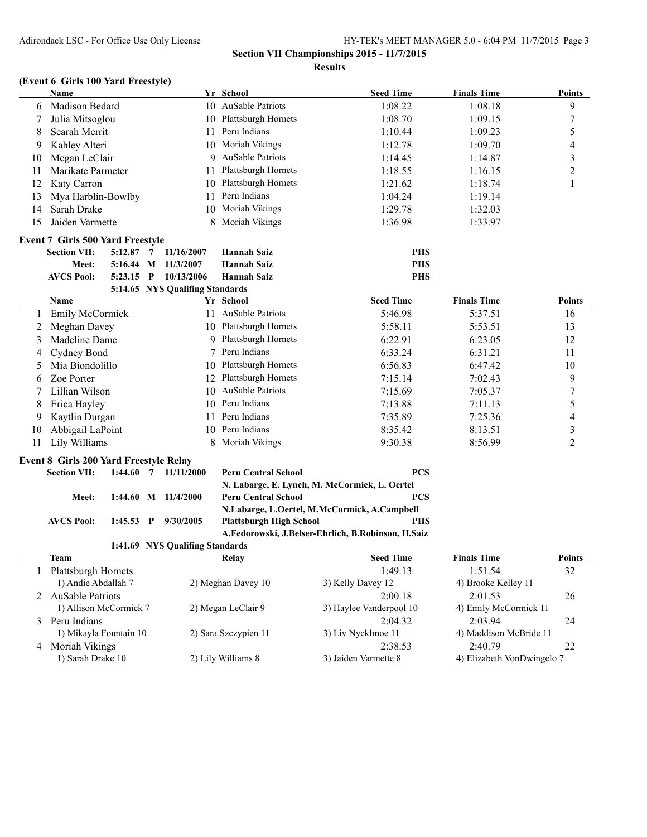**Section VII Championships 2015 - 11/7/2015 Results**

## **(Event 6 Girls 100 Yard Freestyle)**

|    | Name                                          |             |                         |                                 | Yr School                      | <b>Seed Time</b>                                   | <b>Finals Time</b>                    | <b>Points</b>    |
|----|-----------------------------------------------|-------------|-------------------------|---------------------------------|--------------------------------|----------------------------------------------------|---------------------------------------|------------------|
| 6  | Madison Bedard                                |             |                         |                                 | 10 AuSable Patriots            | 1:08.22                                            | 1:08.18                               | 9                |
| 7  | Julia Mitsoglou                               |             |                         |                                 | 10 Plattsburgh Hornets         | 1:08.70                                            | 1:09.15                               | $\boldsymbol{7}$ |
| 8  | Searah Merrit                                 |             |                         | 11                              | Peru Indians                   | 1:10.44                                            | 1:09.23                               | 5                |
| 9  | Kahley Alteri                                 |             |                         | 10                              | Moriah Vikings                 | 1:12.78                                            | 1:09.70                               | 4                |
| 10 | Megan LeClair                                 |             |                         | 9                               | <b>AuSable Patriots</b>        | 1:14.45                                            | 1:14.87                               | 3                |
| 11 | Marikate Parmeter                             |             |                         | 11                              | Plattsburgh Hornets            | 1:18.55                                            | 1:16.15                               | $\overline{c}$   |
| 12 | Katy Carron                                   |             |                         | 10                              | Plattsburgh Hornets            | 1:21.62                                            | 1:18.74                               | 1                |
| 13 | Mya Harblin-Bowlby                            |             |                         | 11                              | Peru Indians                   | 1:04.24                                            | 1:19.14                               |                  |
| 14 | Sarah Drake                                   |             |                         | 10                              | Moriah Vikings                 | 1:29.78                                            | 1:32.03                               |                  |
| 15 | Jaiden Varmette                               |             |                         | 8                               | Moriah Vikings                 | 1:36.98                                            | 1:33.97                               |                  |
|    | <b>Event 7 Girls 500 Yard Freestyle</b>       |             |                         |                                 |                                |                                                    |                                       |                  |
|    | <b>Section VII:</b>                           | $5:12.87$ 7 |                         | 11/16/2007                      | <b>Hannah Saiz</b>             | <b>PHS</b>                                         |                                       |                  |
|    | Meet:                                         | 5:16.44 M   |                         | 11/3/2007                       | <b>Hannah Saiz</b>             | <b>PHS</b>                                         |                                       |                  |
|    | <b>AVCS Pool:</b>                             | $5:23.15$ P |                         | 10/13/2006                      | <b>Hannah Saiz</b>             | <b>PHS</b>                                         |                                       |                  |
|    |                                               |             |                         | 5:14.65 NYS Qualifing Standards |                                |                                                    |                                       |                  |
|    | Name                                          |             |                         |                                 | Yr School                      | <b>Seed Time</b>                                   | <b>Finals Time</b>                    | Points           |
| 1  | <b>Emily McCormick</b>                        |             |                         |                                 | 11 AuSable Patriots            | 5:46.98                                            | 5:37.51                               | 16               |
| 2  | Meghan Davey                                  |             |                         |                                 | 10 Plattsburgh Hornets         | 5:58.11                                            | 5:53.51                               | 13               |
| 3  | Madeline Dame                                 |             |                         |                                 | 9 Plattsburgh Hornets          | 6:22.91                                            | 6:23.05                               | 12               |
| 4  | Cydney Bond                                   |             |                         | 7                               | Peru Indians                   | 6:33.24                                            | 6:31.21                               | 11               |
| 5  | Mia Biondolillo<br>10                         |             | Plattsburgh Hornets     | 6:56.83                         | 6:47.42                        | 10                                                 |                                       |                  |
| 6  | Zoe Porter                                    |             |                         |                                 | 12 Plattsburgh Hornets         | 7:15.14                                            | 7:02.43                               | 9                |
| 7  | Lillian Wilson<br>10                          |             | <b>AuSable Patriots</b> | 7:15.69                         | 7:05.37                        | $\boldsymbol{7}$                                   |                                       |                  |
| 8  | Erica Hayley<br>10                            |             | Peru Indians            | 7:13.88                         | 7:11.13                        | 5                                                  |                                       |                  |
| 9  | Kaytlin Durgan<br>11                          |             |                         |                                 | Peru Indians                   | 7:35.89                                            | 7:25.36                               | $\overline{4}$   |
| 10 | Abbigail LaPoint<br>10                        |             | Peru Indians            | 8:35.42                         | 8:13.51                        | 3                                                  |                                       |                  |
| 11 | Lily Williams<br>8                            |             | Moriah Vikings          | 9:30.38                         | 8:56.99                        | $\overline{2}$                                     |                                       |                  |
|    | <b>Event 8 Girls 200 Yard Freestyle Relay</b> |             |                         |                                 |                                |                                                    |                                       |                  |
|    | <b>Section VII:</b>                           |             |                         | $1:44.60$ 7 $11/11/2000$        | <b>Peru Central School</b>     | <b>PCS</b>                                         |                                       |                  |
|    |                                               |             |                         |                                 |                                | N. Labarge, E. Lynch, M. McCormick, L. Oertel      |                                       |                  |
|    | Meet:                                         |             |                         | 1:44.60 M 11/4/2000             | <b>Peru Central School</b>     | <b>PCS</b>                                         |                                       |                  |
|    |                                               |             |                         |                                 |                                | N.Labarge, L.Oertel, M.McCormick, A.Campbell       |                                       |                  |
|    | <b>AVCS Pool:</b>                             | $1:45.53$ P |                         | 9/30/2005                       | <b>Plattsburgh High School</b> | <b>PHS</b>                                         |                                       |                  |
|    |                                               |             |                         |                                 |                                | A.Fedorowski, J.Belser-Ehrlich, B.Robinson, H.Saiz |                                       |                  |
|    |                                               |             |                         | 1:41.69 NYS Qualifing Standards |                                |                                                    |                                       |                  |
|    | <b>Team</b>                                   |             |                         |                                 | Relay                          | <b>Seed Time</b>                                   | <b>Finals Time</b>                    | <b>Points</b>    |
| 1  | Plattsburgh Hornets                           |             |                         |                                 |                                | 1:49.13                                            | 1:51.54                               | 32               |
|    | 1) Andie Abdallah 7                           |             |                         |                                 | 2) Meghan Davey 10             | 3) Kelly Davey 12                                  | 4) Brooke Kelley 11                   |                  |
| 2  | <b>AuSable Patriots</b>                       |             |                         | 2:00.18                         | 2:01.53                        | 26                                                 |                                       |                  |
|    | 1) Allison McCormick 7                        |             |                         |                                 | 2) Megan LeClair 9             | 3) Haylee Vanderpool 10                            | 4) Emily McCormick 11                 |                  |
| 3  | Peru Indians                                  |             |                         |                                 |                                | 2:04.32                                            | 2:03.94                               | 24               |
|    | 1) Mikayla Fountain 10                        |             |                         |                                 | 2) Sara Szczypien 11           | 3) Liv Nycklmoe 11                                 | 4) Maddison McBride 11                |                  |
| 4  | Moriah Vikings                                |             |                         |                                 | 2) Lily Williams 8             | 2:38.53<br>3) Jaiden Varmette 8                    | 2:40.79<br>4) Elizabeth VonDwingelo 7 | 22               |
|    | 1) Sarah Drake 10                             |             |                         |                                 |                                |                                                    |                                       |                  |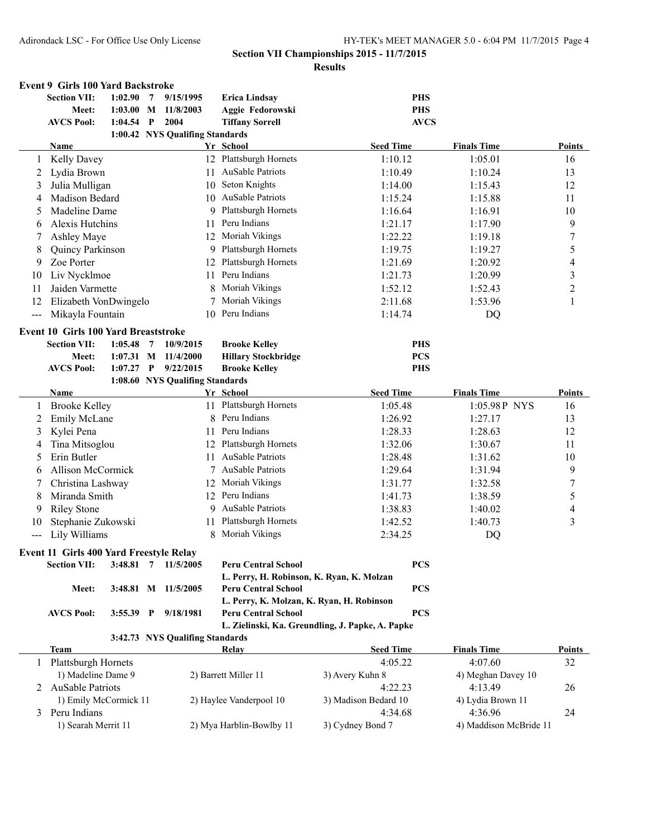#### **Section VII Championships 2015 - 11/7/2015 Results**

|       | <b>Event 9 Girls 100 Yard Backstroke</b> |             |              |                                 |    |                                                                         |                                                  |                        |                  |
|-------|------------------------------------------|-------------|--------------|---------------------------------|----|-------------------------------------------------------------------------|--------------------------------------------------|------------------------|------------------|
|       | <b>Section VII:</b>                      | 1:02.90     | 7            | 9/15/1995                       |    | <b>Erica Lindsay</b>                                                    | <b>PHS</b>                                       |                        |                  |
|       | Meet:                                    | $1:03.00$ M |              | 11/8/2003                       |    | Aggie Fedorowski                                                        | <b>PHS</b>                                       |                        |                  |
|       | <b>AVCS Pool:</b>                        | 1:04.54     | $\mathbf{P}$ | 2004                            |    | <b>Tiffany Sorrell</b>                                                  | <b>AVCS</b>                                      |                        |                  |
|       |                                          |             |              | 1:00.42 NYS Qualifing Standards |    |                                                                         |                                                  |                        |                  |
|       | Name                                     |             |              |                                 |    | Yr School                                                               | <b>Seed Time</b>                                 | <b>Finals Time</b>     | <b>Points</b>    |
|       | <b>Kelly Davey</b>                       |             |              |                                 |    | 12 Plattsburgh Hornets                                                  | 1:10.12                                          | 1:05.01                | 16               |
| 2     | Lydia Brown                              |             |              |                                 | 11 | AuSable Patriots                                                        | 1:10.49                                          | 1:10.24                | 13               |
| 3     | Julia Mulligan                           |             |              |                                 | 10 | Seton Knights                                                           | 1:14.00                                          | 1:15.43                | 12               |
| 4     | <b>Madison Bedard</b>                    |             |              |                                 | 10 | AuSable Patriots                                                        | 1:15.24                                          | 1:15.88                | 11               |
| 5     | Madeline Dame                            |             |              |                                 | 9  | Plattsburgh Hornets                                                     | 1:16.64                                          | 1:16.91                | 10               |
| 6     | Alexis Hutchins                          |             |              |                                 | 11 | Peru Indians                                                            | 1:21.17                                          | 1:17.90                | 9                |
|       | Ashley Maye                              |             |              |                                 |    | 12 Moriah Vikings                                                       | 1:22.22                                          | 1:19.18                | $\boldsymbol{7}$ |
| 8     | Quincy Parkinson                         |             |              |                                 |    | 9 Plattsburgh Hornets                                                   | 1:19.75                                          | 1:19.27                | 5                |
| 9     | Zoe Porter                               |             |              |                                 |    | 12 Plattsburgh Hornets                                                  | 1:21.69                                          | 1:20.92                | 4                |
| 10    | Liv Nycklmoe                             |             |              |                                 | 11 | Peru Indians                                                            | 1:21.73                                          | 1:20.99                | 3                |
| 11    | Jaiden Varmette                          |             |              |                                 | 8  | Moriah Vikings                                                          | 1:52.12                                          | 1:52.43                | $\overline{2}$   |
| 12    | Elizabeth VonDwingelo                    |             |              |                                 | 7  | Moriah Vikings                                                          | 2:11.68                                          | 1:53.96                | 1                |
| $---$ | Mikayla Fountain                         |             |              |                                 | 10 | Peru Indians                                                            | 1:14.74                                          | DQ                     |                  |
|       | Event 10 Girls 100 Yard Breaststroke     |             |              |                                 |    |                                                                         |                                                  |                        |                  |
|       | <b>Section VII:</b>                      | 1:05.48     | 7            | 10/9/2015                       |    | <b>Brooke Kelley</b>                                                    | <b>PHS</b>                                       |                        |                  |
|       | Meet:                                    | $1:07.31$ M |              | 11/4/2000                       |    | <b>Hillary Stockbridge</b>                                              | <b>PCS</b>                                       |                        |                  |
|       | <b>AVCS Pool:</b>                        | 1:07.27     | $\mathbf{P}$ | 9/22/2015                       |    | <b>Brooke Kelley</b>                                                    | <b>PHS</b>                                       |                        |                  |
|       |                                          |             |              | 1:08.60 NYS Qualifing Standards |    |                                                                         |                                                  |                        |                  |
|       | Name                                     |             |              |                                 |    | Yr School                                                               | <b>Seed Time</b>                                 | <b>Finals Time</b>     | Points           |
| 1     | <b>Brooke Kelley</b>                     |             |              |                                 |    | 11 Plattsburgh Hornets                                                  | 1:05.48                                          | 1:05.98P NYS           | 16               |
| 2     | Emily McLane                             |             |              |                                 | 8  | Peru Indians                                                            | 1:26.92                                          | 1:27.17                | 13               |
| 3     | Kylei Pena                               |             |              |                                 | 11 | Peru Indians                                                            | 1:28.33                                          | 1:28.63                | 12               |
| 4     | Tina Mitsoglou                           |             |              |                                 | 12 | Plattsburgh Hornets                                                     | 1:32.06                                          | 1:30.67                | 11               |
| 5     | Erin Butler                              |             |              |                                 | 11 | AuSable Patriots                                                        | 1:28.48                                          | 1:31.62                | 10               |
| 6     | <b>Allison McCormick</b>                 |             |              |                                 |    | <b>AuSable Patriots</b>                                                 | 1:29.64                                          | 1:31.94                | 9                |
|       | Christina Lashway                        |             |              |                                 | 12 | Moriah Vikings                                                          | 1:31.77                                          | 1:32.58                | $\sqrt{ }$       |
| 8     | Miranda Smith                            |             |              |                                 | 12 | Peru Indians                                                            | 1:41.73                                          | 1:38.59                | 5                |
| 9     | <b>Riley Stone</b>                       |             |              |                                 | 9  | AuSable Patriots                                                        | 1:38.83                                          | 1:40.02                | 4                |
| 10    | Stephanie Zukowski                       |             |              |                                 | 11 | Plattsburgh Hornets                                                     | 1:42.52                                          | 1:40.73                | 3                |
| $---$ | Lily Williams                            |             |              |                                 | 8  | Moriah Vikings                                                          | 2:34.25                                          | DQ                     |                  |
|       |                                          |             |              |                                 |    |                                                                         |                                                  |                        |                  |
|       | Event 11 Girls 400 Yard Freestyle Relay  |             |              |                                 |    |                                                                         |                                                  |                        |                  |
|       | <b>Section VII:</b>                      | 3:48.81     | 7            | 11/5/2005                       |    | <b>Peru Central School</b>                                              | <b>PCS</b>                                       |                        |                  |
|       |                                          |             |              |                                 |    | L. Perry, H. Robinson, K. Ryan, K. Molzan                               |                                                  |                        |                  |
|       | Meet:                                    |             |              | 3:48.81 M 11/5/2005             |    | <b>Peru Central School</b>                                              | <b>PCS</b>                                       |                        |                  |
|       |                                          |             |              |                                 |    | L. Perry, K. Molzan, K. Ryan, H. Robinson<br><b>Peru Central School</b> | <b>PCS</b>                                       |                        |                  |
|       | <b>AVCS Pool:</b>                        | $3:55.39$ P |              | 9/18/1981                       |    |                                                                         | L. Zielinski, Ka. Greundling, J. Papke, A. Papke |                        |                  |
|       |                                          |             |              | 3:42.73 NYS Qualifing Standards |    |                                                                         |                                                  |                        |                  |
|       | Team                                     |             |              |                                 |    | <b>Relay</b>                                                            | <b>Seed Time</b>                                 | <b>Finals Time</b>     | <b>Points</b>    |
| 1     | Plattsburgh Hornets                      |             |              |                                 |    |                                                                         | 4:05.22                                          | 4:07.60                | 32               |
|       | 1) Madeline Dame 9                       |             |              |                                 |    | 2) Barrett Miller 11                                                    | 3) Avery Kuhn 8                                  | 4) Meghan Davey 10     |                  |
|       | 2 AuSable Patriots                       |             |              |                                 |    |                                                                         | 4:22.23                                          | 4:13.49                | 26               |
|       | 1) Emily McCormick 11                    |             |              |                                 |    | 2) Haylee Vanderpool 10                                                 | 3) Madison Bedard 10                             | 4) Lydia Brown 11      |                  |
| 3     | Peru Indians                             |             |              |                                 |    |                                                                         | 4:34.68                                          | 4:36.96                | 24               |
|       | 1) Searah Merrit 11                      |             |              |                                 |    | 2) Mya Harblin-Bowlby 11                                                | 3) Cydney Bond 7                                 | 4) Maddison McBride 11 |                  |